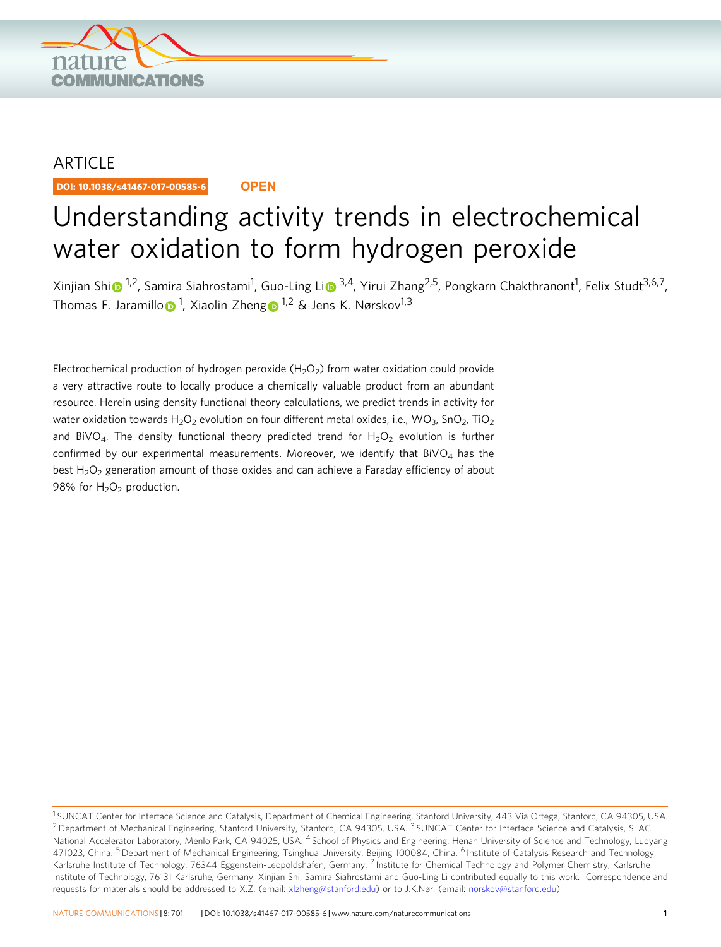

## ARTICLE

DOI: 10.1038/s41467-017-00585-6 **OPEN**

# Understanding activity trends in electrochemical water oxidation to form hydrogen peroxide

X[i](http://orcid.org/0000-0002-1703-3699)njian Shi⋒<sup>[1](http://orcid.org/0000-0002-1998-6936),2</sup>, Samira Siahrostami<sup>1</sup>, Guo-Ling Li⋒ <sup>3,4</sup>, Yirui Zhang<sup>2,5</sup>, Pongkarn Chakthranont<sup>1</sup>, Felix Studt<sup>3,6,7</sup>, Th[o](http://orcid.org/0000-0001-9900-0622)mas F. Jaramillo⋒<sup>[1](http://orcid.org/0000-0002-8889-7873)</sup>, Xiaolin Zhen[g](http://orcid.org/0000-0002-8889-7873)⋒<sup>1,2</sup> & Jens K. Nørskov<sup>1,3</sup>

Electrochemical production of hydrogen peroxide  $(H_2O_2)$  from water oxidation could provide a very attractive route to locally produce a chemically valuable product from an abundant resource. Herein using density functional theory calculations, we predict trends in activity for water oxidation towards H<sub>2</sub>O<sub>2</sub> evolution on four different metal oxides, i.e., WO<sub>3</sub>, SnO<sub>2</sub>, TiO<sub>2</sub> and BiVO<sub>4</sub>. The density functional theory predicted trend for  $H_2O_2$  evolution is further confirmed by our experimental measurements. Moreover, we identify that  $BiVO<sub>4</sub>$  has the best  $H_2O_2$  generation amount of those oxides and can achieve a Faraday efficiency of about 98% for  $H_2O_2$  production.

<sup>&</sup>lt;sup>1</sup> SUNCAT Center for Interface Science and Catalysis, Department of Chemical Engineering, Stanford University, 443 Via Ortega, Stanford, CA 94305, USA. <sup>2</sup> Department of Mechanical Engineering, Stanford University, Stanford, CA 94305, USA. <sup>3</sup> SUNCAT Center for Interface Science and Catalysis, SLAC National Accelerator Laboratory, Menlo Park, CA 94025, USA. <sup>4</sup> School of Physics and Engineering, Henan University of Science and Technology, Luoyang 471023, China. <sup>5</sup> Department of Mechanical Engineering, Tsinghua University, Beijing 100084, China. <sup>6</sup> Institute of Catalysis Research and Technology, Karlsruhe Institute of Technology, 76344 Eggenstein-Leopoldshafen, Germany. <sup>7</sup> Institute for Chemical Technology and Polymer Chemistry, Karlsruhe Institute of Technology, 76131 Karlsruhe, Germany. Xinjian Shi, Samira Siahrostami and Guo-Ling Li contributed equally to this work. Correspondence and requests for materials should be addressed to X.Z. (email: [xlzheng@stanford.edu\)](mailto:xlzheng@stanford.edu) or to J.K.Nør. (email: [norskov@stanford.edu\)](mailto:norskov@stanford.edu)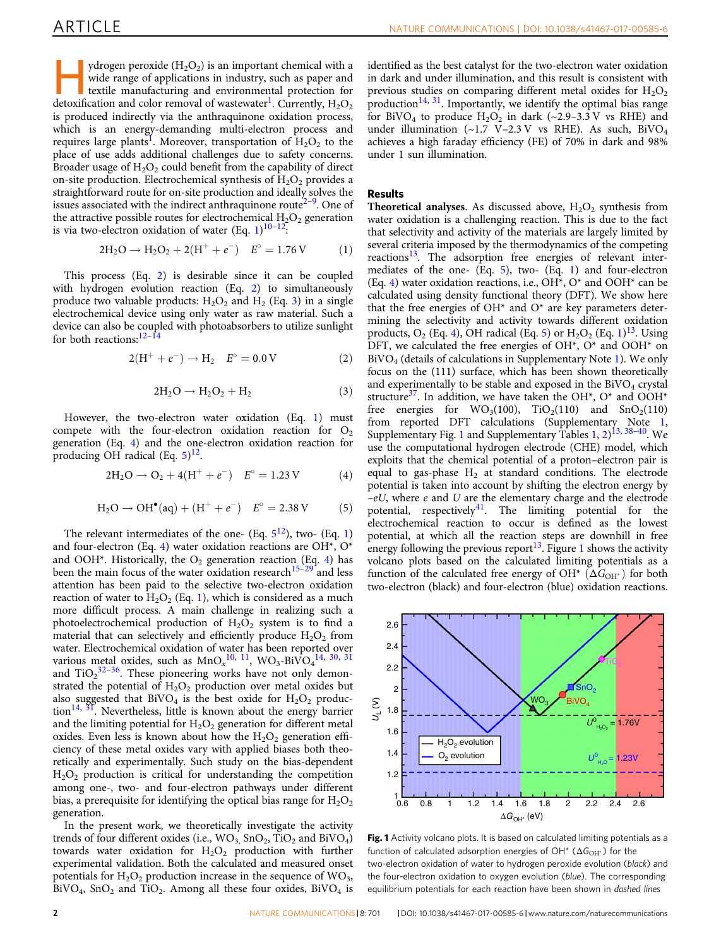<span id="page-1-0"></span>ydrogen peroxide  $(H_2O_2)$  is an important chemical with a wide range of applications in industry, such as paper and textile manufacturing and environmental protection for detoxification and color removal of wastewater<sup>1</sup>. Currently,  $H_2O_2$ is produced indirectly via the anthraquinone oxidation process, which is an energy-demanding multi-electron process and requires large plants<sup>[1](#page-4-0)</sup>. Moreover, transportation of  $H_2O_2$  to the place of use adds additional challenges due to safety concerns. Broader usage of  $H_2O_2$  could benefit from the capability of direct on-site production. Electrochemical synthesis of  $H_2O_2$  provides a straightforward route for on-site production and ideally solves the issues associated with the indirect anthraquinone route<sup> $2-9$  $2-9$ </sup>. One of the attractive possible routes for electrochemical  $H_2O_2$  generation is via two-electron oxidation of water (Eq.  $1)^{10-12}$  $1)^{10-12}$  $1)^{10-12}$  $1)^{10-12}$  $1)^{10-12}$ :

$$
2H_2O \to H_2O_2 + 2(H^+ + e^-) \quad E^{\circ} = 1.76 \text{ V} \tag{1}
$$

This process (Eq. 2) is desirable since it can be coupled with hydrogen evolution reaction (Eq. 2) to simultaneously produce two valuable products:  $H_2O_2$  and  $H_2$  (Eq. 3) in a single electrochemical device using only water as raw material. Such a device can also be coupled with photoabsorbers to utilize sunlight for both reactions:<sup>[12](#page-4-0)–[14](#page-4-0)</sup>

$$
2(H^{+} + e^{-}) \rightarrow H_{2} \quad E^{\circ} = 0.0 V \tag{2}
$$

$$
2H_2O \rightarrow H_2O_2 + H_2 \tag{3}
$$

However, the two-electron water oxidation (Eq. 1) must compete with the four-electron oxidation reaction for  $O_2$ generation (Eq. 4) and the one-electron oxidation reaction for producing OH radical  $(Eq. 5)^{12}$  $(Eq. 5)^{12}$  $(Eq. 5)^{12}$ .

$$
2H_2O \to O_2 + 4(H^+ + e^-) \quad E^{\circ} = 1.23 \text{ V} \tag{4}
$$

$$
H_2O \to OH^{\bullet}(aq) + (H^+ + e^-)
$$
  $E^{\circ} = 2.38 \text{ V}$  (5)

The relevant intermediates of the one- (Eq.  $5^{12}$ ), two- (Eq. 1) and four-electron (Eq. 4) water oxidation reactions are OH\*, O\* and OOH\*. Historically, the  $O_2$  generation reaction (Eq. 4) has been the main focus of the water oxidation research<sup>[15](#page-4-0)–[29](#page-5-0)</sup> and less attention has been paid to the selective two-electron oxidation reaction of water to  $H_2O_2$  (Eq. 1), which is considered as a much more difficult process. A main challenge in realizing such a photoelectrochemical production of  $H_2O_2$  system is to find a material that can selectively and efficiently produce  $H_2O_2$  from water. Electrochemical oxidation of water has been reported over various metal oxides, such as  $MnO_x^{10}$ ,  $^{11}$  $^{11}$  $^{11}$ ,  $WO_3$ -BiV $O_4^{14}$  $O_4^{14}$  $O_4^{14}$ ,  $^{30}$  $^{30}$  $^{30}$ ,  $^{31}$  $^{31}$  $^{31}$ and  $TiO<sub>2</sub><sup>32-36</sup>$  $TiO<sub>2</sub><sup>32-36</sup>$  $TiO<sub>2</sub><sup>32-36</sup>$ . These pioneering works have not only demonstrated the potential of  $H_2O_2$  production over metal oxides but also suggested that  $BiVO<sub>4</sub>$  is the best oxide for  $H<sub>2</sub>O<sub>2</sub>$  produc- $\[\text{tion}^{14, 3I}\]$  $\[\text{tion}^{14, 3I}\]$  $\[\text{tion}^{14, 3I}\]$ . Nevertheless, little is known about the energy barrier and the limiting potential for  $H_2O_2$  generation for different metal oxides. Even less is known about how the  $H_2O_2$  generation efficiency of these metal oxides vary with applied biases both theoretically and experimentally. Such study on the bias-dependent  $H<sub>2</sub>O<sub>2</sub>$  production is critical for understanding the competition among one-, two- and four-electron pathways under different bias, a prerequisite for identifying the optical bias range for  $\rm H_2O_2$ generation.

In the present work, we theoretically investigate the activity trends of four different oxides (i.e.,  $WO_3$ ,  $SnO_2$ ,  $TiO_2$  and  $BiVO_4$ ) towards water oxidation for  $H_2O_2$  production with further experimental validation. Both the calculated and measured onset potentials for  $H_2O_2$  production increase in the sequence of  $WO_3$ ,  $BiVO<sub>4</sub>$ ,  $SnO<sub>2</sub>$  and  $TiO<sub>2</sub>$ . Among all these four oxides,  $BiVO<sub>4</sub>$  is

identified as the best catalyst for the two-electron water oxidation in dark and under illumination, and this result is consistent with previous studies on comparing different metal oxides for  $H_2O_2$ production<sup>[14,](#page-4-0) [31](#page-5-0)</sup>. Importantly, we identify the optimal bias range for BiVO<sub>4</sub> to produce H<sub>2</sub>O<sub>2</sub> in dark  $(\sim 2.9-3.3 \text{ V}$  vs RHE) and under illumination  $(-1.7 \text{ V}-2.3 \text{ V} \text{ vs } \text{RHE})$ . As such, BiVO<sub>4</sub> achieves a high faraday efficiency (FE) of 70% in dark and 98% under 1 sun illumination.

### Results

**Theoretical analyses.** As discussed above,  $H_2O_2$  synthesis from water oxidation is a challenging reaction. This is due to the fact that selectivity and activity of the materials are largely limited by several criteria imposed by the thermodynamics of the competing reactions<sup>13</sup>. The adsorption free energies of relevant intermediates of the one- (Eq. 5), two- (Eq. 1) and four-electron (Eq. 4) water oxidation reactions, i.e.,  $OH^*$ ,  $O^*$  and  $OOH^*$  can be calculated using density functional theory (DFT). We show here that the free energies of OH\* and O\* are key parameters determining the selectivity and activity towards different oxidation products,  $O_2$  (Eq. 4), OH radical (Eq. 5) or  $H_2O_2$  (Eq. 1)<sup>13</sup>. Using DFT, we calculated the free energies of OH\*, O\* and OOH\* on BiVO4 (details of calculations in Supplementary Note 1). We only focus on the (111) surface, which has been shown theoretically and experimentally to be stable and exposed in the  $\rm BiVO_4$  crystal structure<sup>37</sup>. In addition, we have taken the OH<sup>\*</sup>, O<sup>\*</sup> and OOH<sup>\*</sup> free energies for  $WO_3(100)$ ,  $TiO_2(110)$  and  $SnO_2(110)$ from reported DFT calculations (Supplementary Note 1, Supplementary Fig. 1 and Supplementary Tables 1, 2) [13](#page-4-0), [38](#page-5-0)–[40](#page-5-0). We use the computational hydrogen electrode (CHE) model, which exploits that the chemical potential of a proton–electron pair is equal to gas-phase  $H_2$  at standard conditions. The electrode potential is taken into account by shifting the electron energy by  $-eU$ , where  $e$  and  $U$  are the elementary charge and the electrode potential, respectively<sup>[41](#page-5-0)</sup>. The limiting potential for the electrochemical reaction to occur is defined as the lowest potential, at which all the reaction steps are downhill in free energy following the previous report<sup>13</sup>. Figure 1 shows the activity volcano plots based on the calculated limiting potentials as a function of the calculated free energy of OH\*  $(\Delta G_{\text{OH}}^*)$  for both two-electron (black) and four-electron (blue) oxidation reactions.



Fig. 1 Activity volcano plots. It is based on calculated limiting potentials as a function of calculated adsorption energies of  $OH^*$  ( $\Delta G_{OH^*}$ ) for the two-electron oxidation of water to hydrogen peroxide evolution (black) and the four-electron oxidation to oxygen evolution (blue). The corresponding equilibrium potentials for each reaction have been shown in dashed lines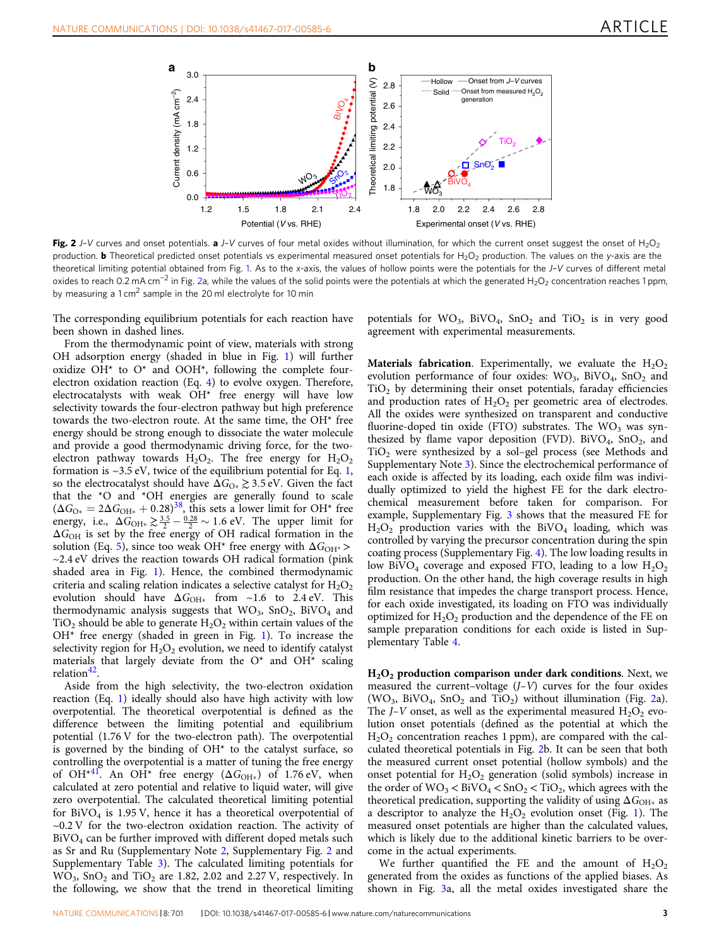<span id="page-2-0"></span>

Fig. 2 J-V curves and onset potentials. a J-V curves of four metal oxides without illumination, for which the current onset suggest the onset of H<sub>2</sub>O<sub>2</sub> production. **b** Theoretical predicted onset potentials vs experimental measured onset potentials for H<sub>2</sub>O<sub>2</sub> production. The values on the y-axis are the theoretical limiting potential obtained from Fig. [1](#page-1-0). As to the x-axis, the values of hollow points were the potentials for the J–V curves of different metal oxides to reach 0.2 mA cm<sup>-2</sup> in Fig. 2a, while the values of the solid points were the potentials at which the generated H<sub>2</sub>O<sub>2</sub> concentration reaches 1 ppm, by measuring a 1 cm<sup>2</sup> sample in the 20 ml electrolyte for 10 min

The corresponding equilibrium potentials for each reaction have been shown in dashed lines.

From the thermodynamic point of view, materials with strong OH adsorption energy (shaded in blue in Fig. [1](#page-1-0)) will further oxidize  $OH^*$  to  $O^*$  and  $OOH^*$ , following the complete fourelectron oxidation reaction (Eq. [4\)](#page-1-0) to evolve oxygen. Therefore, electrocatalysts with weak OH\* free energy will have low selectivity towards the four-electron pathway but high preference towards the two-electron route. At the same time, the OH\* free energy should be strong enough to dissociate the water molecule and provide a good thermodynamic driving force, for the twoelectron pathway towards  $H_2O_2$ . The free energy for  $H_2O_2$ formation is  $\sim$ 3.5 eV, twice of the equilibrium potential for Eq. [1,](#page-1-0) so the electrocatalyst should have  $\Delta G_{\text{O*}} \gtrsim 3.5 \text{ eV}$ . Given the fact that the \*O and \*OH energies are generally found to scale  $(\Delta G_{\text{O*}} = 2\Delta G_{\text{OH*}} + 0.28)^{38}$ , this sets a lower limit for OH\* free energy, i.e.,  $\Delta G_{\text{OH*}} \geq \frac{3.5}{2} - \frac{0.28}{2} \sim 1.6 \text{ eV}$ . The upper limit for  $\Delta G_\text{OH}$  is set by the free energy of OH radical formation in the solution (Eq. [5](#page-1-0)), since too weak OH<sup>\*</sup> free energy with  $\Delta G_{\text{OH}^*}$  >  $\sim$ 2.4 eV drives the reaction towards OH radical formation (pink) shaded area in Fig. [1](#page-1-0)). Hence, the combined thermodynamic criteria and scaling relation indicates a selective catalyst for  $H_2O_2$ evolution should have  $\Delta G_{\text{OH}*}$  from ~1.6 to 2.4 eV. This thermodynamic analysis suggests that  $WO_3$ ,  $SnO_2$ ,  $BiVO_4$  and  $TiO<sub>2</sub>$  should be able to generate  $H<sub>2</sub>O<sub>2</sub>$  within certain values of the  $OH*$  free energy (shaded in green in Fig. [1](#page-1-0)). To increase the selectivity region for  $H_2O_2$  evolution, we need to identify catalyst materials that largely deviate from the  $O^*$  and  $OH^*$  scaling relation<sup>42</sup>.

Aside from the high selectivity, the two-electron oxidation reaction (Eq. [1\)](#page-1-0) ideally should also have high activity with low overpotential. The theoretical overpotential is defined as the difference between the limiting potential and equilibrium potential (1.76 V for the two-electron path). The overpotential is governed by the binding of  $OH<sup>*</sup>$  to the catalyst surface, so controlling the overpotential is a matter of tuning the free energy of OH<sup>\*[41](#page-5-0)</sup>. An OH<sup>\*</sup> free energy ( $\Delta G$ <sub>OH\*</sub>) of 1.76 eV, when calculated at zero potential and relative to liquid water, will give zero overpotential. The calculated theoretical limiting potential for  $BiVO<sub>4</sub>$  is 1.95 V, hence it has a theoretical overpotential of  $\sim$ 0.2 V for the two-electron oxidation reaction. The activity of  $BiVO<sub>4</sub>$  can be further improved with different doped metals such as Sr and Ru (Supplementary Note 2, Supplementary Fig. 2 and Supplementary Table 3). The calculated limiting potentials for  $WO<sub>3</sub>$ ,  $SnO<sub>2</sub>$  and  $TiO<sub>2</sub>$  are 1.82, 2.02 and 2.27 V, respectively. In the following, we show that the trend in theoretical limiting

potentials for  $WO_3$ ,  $BiVO_4$ ,  $SnO_2$  and  $TiO_2$  is in very good agreement with experimental measurements.

**Materials fabrication.** Experimentally, we evaluate the  $H_2O_2$ evolution performance of four oxides:  $WO_3$ ,  $BIVO_4$ ,  $SnO_2$  and  $TiO<sub>2</sub>$  by determining their onset potentials, faraday efficiencies and production rates of  $H_2O_2$  per geometric area of electrodes. All the oxides were synthesized on transparent and conductive fluorine-doped tin oxide (FTO) substrates. The  $WO<sub>3</sub>$  was synthesized by flame vapor deposition (FVD). BiVO<sub>4</sub>,  $SnO<sub>2</sub>$ , and TiO2 were synthesized by a sol–gel process (see Methods and Supplementary Note 3). Since the electrochemical performance of each oxide is affected by its loading, each oxide film was individually optimized to yield the highest FE for the dark electrochemical measurement before taken for comparison. For example, Supplementary Fig. 3 shows that the measured FE for  $H<sub>2</sub>O<sub>2</sub>$  production varies with the BiVO<sub>4</sub> loading, which was controlled by varying the precursor concentration during the spin coating process (Supplementary Fig. 4). The low loading results in low BiVO<sub>4</sub> coverage and exposed FTO, leading to a low  $H_2O_2$ production. On the other hand, the high coverage results in high film resistance that impedes the charge transport process. Hence, for each oxide investigated, its loading on FTO was individually optimized for  $H_2O_2$  production and the dependence of the FE on sample preparation conditions for each oxide is listed in Supplementary Table 4.

H<sub>2</sub>O<sub>2</sub> production comparison under dark conditions. Next, we measured the current–voltage  $(J-V)$  curves for the four oxides (WO<sub>3</sub>, BiVO<sub>4</sub>, SnO<sub>2</sub> and TiO<sub>2</sub>) without illumination (Fig. 2a). The *J*–*V* onset, as well as the experimental measured  $H_2O_2$  evolution onset potentials (defined as the potential at which the  $H<sub>2</sub>O<sub>2</sub>$  concentration reaches 1 ppm), are compared with the calculated theoretical potentials in Fig. 2b. It can be seen that both the measured current onset potential (hollow symbols) and the onset potential for  $H_2O_2$  generation (solid symbols) increase in the order of  $WO_3 < BiVO_4 < SnO_2 < TiO_2$ , which agrees with the theoretical predication, supporting the validity of using  $\Delta G_{\text{OH}*}$  as a descriptor to analyze the  $H_2O_2$  evolution onset (Fig. [1\)](#page-1-0). The measured onset potentials are higher than the calculated values, which is likely due to the additional kinetic barriers to be overcome in the actual experiments.

We further quantified the FE and the amount of  $H_2O_2$ generated from the oxides as functions of the applied biases. As shown in Fig. [3a](#page-3-0), all the metal oxides investigated share the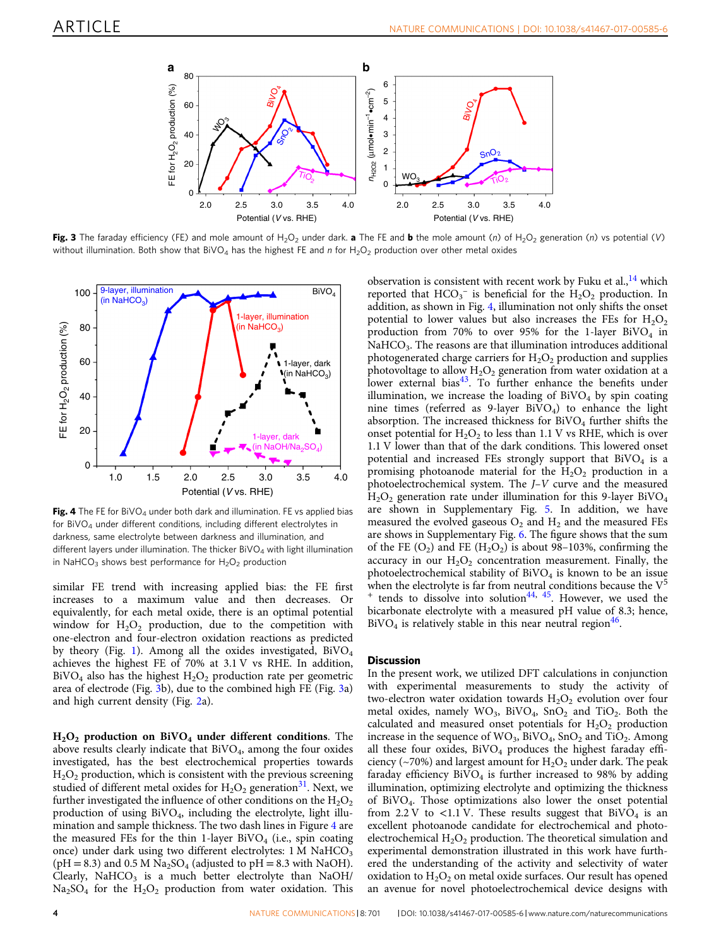<span id="page-3-0"></span>

Fig. 3 The faraday efficiency (FE) and mole amount of H<sub>2</sub>O<sub>2</sub> under dark. a The FE and b the mole amount (n) of H<sub>2</sub>O<sub>2</sub> generation (n) vs potential (V) without illumination. Both show that BiVO<sub>4</sub> has the highest FE and n for H<sub>2</sub>O<sub>2</sub> production over other metal oxides



Fig. 4 The FE for BiVO<sub>4</sub> under both dark and illumination. FE vs applied bias for  $BiVO<sub>A</sub>$  under different conditions, including different electrolytes in darkness, same electrolyte between darkness and illumination, and different layers under illumination. The thicker  $BiVO<sub>4</sub>$  with light illumination in NaHCO<sub>3</sub> shows best performance for  $H_2O_2$  production

similar FE trend with increasing applied bias: the FE first increases to a maximum value and then decreases. Or equivalently, for each metal oxide, there is an optimal potential window for  $H_2O_2$  production, due to the competition with one-electron and four-electron oxidation reactions as predicted by theory (Fig. [1\)](#page-1-0). Among all the oxides investigated,  $BiVO<sub>4</sub>$ achieves the highest FE of 70% at 3.1 V vs RHE. In addition,  $BiVO<sub>4</sub>$  also has the highest  $H<sub>2</sub>O<sub>2</sub>$  production rate per geometric area of electrode (Fig. 3b), due to the combined high FE (Fig. 3a) and high current density (Fig. [2a](#page-2-0)).

 $H<sub>2</sub>O<sub>2</sub>$  production on BiVO<sub>4</sub> under different conditions. The above results clearly indicate that  $BiVO<sub>4</sub>$ , among the four oxides investigated, has the best electrochemical properties towards  $H<sub>2</sub>O<sub>2</sub>$  production, which is consistent with the previous screening studied of different metal oxides for  $H_2O_2$  generation<sup>31</sup>. Next, we further investigated the influence of other conditions on the  $H_2O_2$ production of using BiVO4, including the electrolyte, light illumination and sample thickness. The two dash lines in Figure 4 are the measured FEs for the thin 1-layer BiVO<sub>4</sub> (i.e., spin coating once) under dark using two different electrolytes: 1 M NaHCO<sub>3</sub> (pH = 8.3) and 0.5 M Na<sub>2</sub>SO<sub>4</sub> (adjusted to pH = 8.3 with NaOH). Clearly, NaHCO<sub>3</sub> is a much better electrolyte than NaOH/  $Na<sub>2</sub>SO<sub>4</sub>$  for the  $H<sub>2</sub>O<sub>2</sub>$  production from water oxidation. This

observation is consistent with recent work by Fuku et al., $^{14}$  which reported that  $HCO_3^-$  is beneficial for the  $H_2O_2$  production. In addition, as shown in Fig. 4, illumination not only shifts the onset potential to lower values but also increases the FEs for  $H_2O_2$ production from 70% to over 95% for the 1-layer BiVO<sub>4</sub> in NaHCO<sub>3</sub>. The reasons are that illumination introduces additional photogenerated charge carriers for  $H_2O_2$  production and supplies photovoltage to allow  $H_2O_2$  generation from water oxidation at a lower external bias<sup>[43](#page-5-0)</sup>. To further enhance the benefits under illumination, we increase the loading of  $BiVO<sub>4</sub>$  by spin coating nine times (referred as  $9$ -layer BiVO<sub>4</sub>) to enhance the light absorption. The increased thickness for  $B\text{i} \text{VO}_4$  further shifts the onset potential for  $H_2O_2$  to less than 1.1 V vs RHE, which is over 1.1 V lower than that of the dark conditions. This lowered onset potential and increased FEs strongly support that  $BiVO<sub>4</sub>$  is a promising photoanode material for the  $H_2O_2$  production in a photoelectrochemical system. The J–V curve and the measured  $H<sub>2</sub>O<sub>2</sub>$  generation rate under illumination for this 9-layer BiVO<sub>4</sub> are shown in Supplementary Fig. 5. In addition, we have measured the evolved gaseous  $O_2$  and  $H_2$  and the measured FEs are shows in Supplementary Fig. 6. The figure shows that the sum of the FE  $(O_2)$  and FE  $(H_2O_2)$  is about 98–103%, confirming the accuracy in our  $H_2O_2$  concentration measurement. Finally, the photoelectrochemical stability of  $BivO<sub>4</sub>$  is known to be an issue when the electrolyte is far from neutral conditions because the  $V^5$ <br><sup>+</sup> tends to dissolve into solution<sup>44, 45</sup> However, we used the tends to dissolve into solution<sup>[44](#page-5-0), [45](#page-5-0)</sup>. However, we used the bicarbonate electrolyte with a measured pH value of 8.3; hence,  $BiVO<sub>4</sub>$  is relatively stable in this near neutral region<sup>46</sup>.

#### **Discussion**

In the present work, we utilized DFT calculations in conjunction with experimental measurements to study the activity of two-electron water oxidation towards  $H_2O_2$  evolution over four metal oxides, namely  $WO_3$ ,  $BiVO_4$ ,  $SnO_2$  and  $TiO_2$ . Both the calculated and measured onset potentials for  $H_2O_2$  production increase in the sequence of  $WO_3$ ,  $BiVO_4$ ,  $SnO_2$  and  $TiO_2$ . Among all these four oxides,  $BiVO<sub>4</sub>$  produces the highest faraday efficiency (~70%) and largest amount for  $H_2O_2$  under dark. The peak faraday efficiency  $\rm BiVO_4$  is further increased to 98% by adding illumination, optimizing electrolyte and optimizing the thickness of BiVO4. Those optimizations also lower the onset potential from 2.2 V to <1.1 V. These results suggest that  $BiVO<sub>4</sub>$  is an excellent photoanode candidate for electrochemical and photoelectrochemical  $H_2O_2$  production. The theoretical simulation and experimental demonstration illustrated in this work have furthered the understanding of the activity and selectivity of water oxidation to  $H_2O_2$  on metal oxide surfaces. Our result has opened an avenue for novel photoelectrochemical device designs with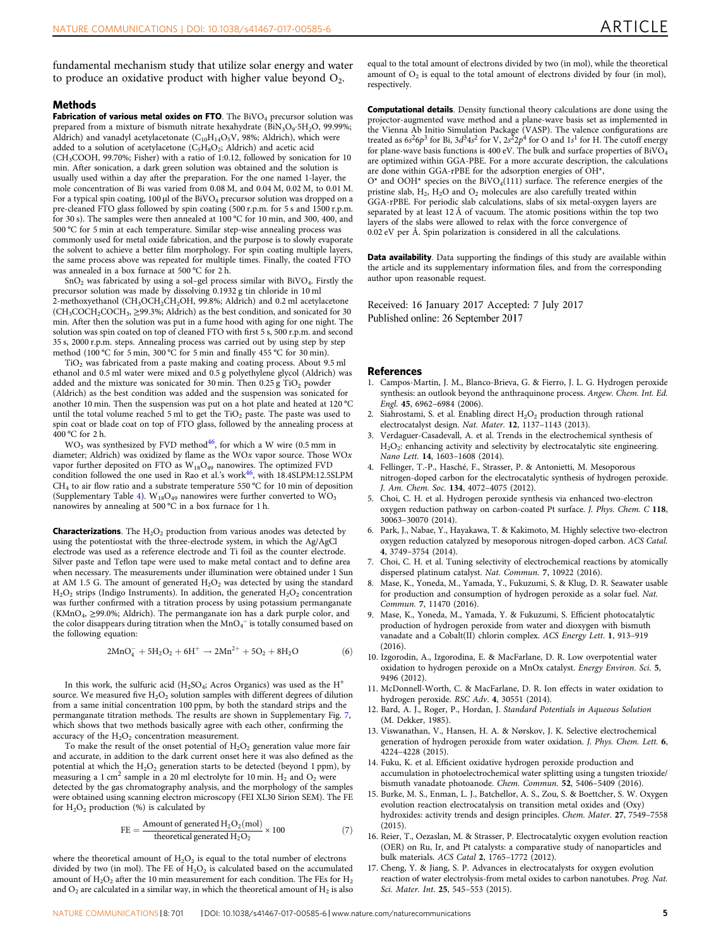<span id="page-4-0"></span>fundamental mechanism study that utilize solar energy and water to produce an oxidative product with higher value beyond  $O<sub>2</sub>$ .

#### Methods

Fabrication of various metal oxides on FTO. The  $BiVO<sub>4</sub>$  precursor solution was prepared from a mixture of bismuth nitrate hexahydrate  $(BiN_3O_9·5H_2O, 99.99\%;$ Aldrich) and vanadyl acetylacetonate ( $C_{10}H_{14}O_5V$ , 98%; Aldrich), which were added to a solution of acetylacetone ( $C_5H_8O_2$ ; Aldrich) and acetic acid (CH3COOH, 99.70%; Fisher) with a ratio of 1:0.12, followed by sonication for 10 min. After sonication, a dark green solution was obtained and the solution is usually used within a day after the preparation. For the one named 1-layer, the mole concentration of Bi was varied from 0.08 M, and 0.04 M, 0.02 M, to 0.01 M. For a typical spin coating,  $100 \mu$ l of the BiVO<sub>4</sub> precursor solution was dropped on a pre-cleaned FTO glass followed by spin coating (500 r.p.m. for 5 s and 1500 r.p.m. for 30 s). The samples were then annealed at 100 °C for 10 min, and 300, 400, and 500 °C for 5 min at each temperature. Similar step-wise annealing process was commonly used for metal oxide fabrication, and the purpose is to slowly evaporate the solvent to achieve a better film morphology. For spin coating multiple layers, the same process above was repeated for multiple times. Finally, the coated FTO was annealed in a box furnace at 500 °C for 2 h.

 $SnO<sub>2</sub>$  was fabricated by using a sol-gel process similar with BiVO<sub>4</sub>. Firstly the precursor solution was made by dissolving 0.1932 g tin chloride in 10 ml 2-methoxyethanol (CH<sub>3</sub>OCH<sub>2</sub>CH<sub>2</sub>OH, 99.8%; Aldrich) and 0.2 ml acetylacetone  $(CH_3COCH_2COCH_3, \geq 99.3\%$ ; Aldrich) as the best condition, and sonicated for 30 min. After then the solution was put in a fume hood with aging for one night. The solution was spin coated on top of cleaned FTO with first 5 s, 500 r.p.m. and second 35 s, 2000 r.p.m. steps. Annealing process was carried out by using step by step method (100 °C for 5 min, 300 °C for 5 min and finally 455 °C for 30 min).

TiO2 was fabricated from a paste making and coating process. About 9.5 ml ethanol and 0.5 ml water were mixed and 0.5 g polyethylene glycol (Aldrich) was added and the mixture was sonicated for 30 min. Then  $0.25$  g  $TiO<sub>2</sub>$  powder (Aldrich) as the best condition was added and the suspension was sonicated for another 10 min. Then the suspension was put on a hot plate and heated at 120 °C until the total volume reached 5 ml to get the  $TiO<sub>2</sub>$  paste. The paste was used to spin coat or blade coat on top of FTO glass, followed by the annealing process at 400 °C for 2 h.

 $WO_3$  was synthesized by FVD method<sup>[46](#page-5-0)</sup>, for which a W wire (0.5 mm in diameter; Aldrich) was oxidized by flame as the WOx vapor source. Those WOx vapor further deposited on FTO as W18O49 nanowires. The optimized FVD condition followed the one used in Rao et al.'s work<sup>46</sup>, with 18.4SLPM:12.5SLPM CH<sub>4</sub> to air flow ratio and a substrate temperature 550 °C for 10 min of deposition (Supplementary Table 4).  $\rm W_{18}O_{49}$  nanowires were further converted to  $\rm WO_3$ nanowires by annealing at 500 °C in a box furnace for 1 h.

**Characterizations**. The  $H_2O_2$  production from various anodes was detected by using the potentiostat with the three-electrode system, in which the Ag/AgCl electrode was used as a reference electrode and Ti foil as the counter electrode. Silver paste and Teflon tape were used to make metal contact and to define area when necessary. The measurements under illumination were obtained under 1 Sun at AM 1.5 G. The amount of generated  $H_2O_2$  was detected by using the standard  $H<sub>2</sub>O<sub>2</sub>$  strips (Indigo Instruments). In addition, the generated  $H<sub>2</sub>O<sub>2</sub>$  concentration was further confirmed with a titration process by using potassium permanganate (KMnO4, ≥99.0%; Aldrich). The permanganate ion has a dark purple color, and the color disappears during titration when the  $MnO_4^-$  is totally consumed based on the following equation:

$$
2MnO_4^- + 5H_2O_2 + 6H^+ \rightarrow 2Mn^{2+} + 5O_2 + 8H_2O
$$
 (6)

In this work, the sulfuric acid (H<sub>2</sub>SO<sub>4</sub>; Acros Organics) was used as the H<sup>+</sup> source. We measured five  $H_2O_2$  solution samples with different degrees of dilution from a same initial concentration 100 ppm, by both the standard strips and the permanganate titration methods. The results are shown in Supplementary Fig. 7, which shows that two methods basically agree with each other, confirming the accuracy of the  $H_2O_2$  concentration measurement.

To make the result of the onset potential of  $H_2O_2$  generation value more fair and accurate, in addition to the dark current onset here it was also defined as the potential at which the  $H_2O_2$  generation starts to be detected (beyond 1 ppm), by measuring a 1 cm<sup>2</sup> sample in a 20 ml electrolyte for 10 min.  $H_2$  and  $O_2$  were detected by the gas chromatography analysis, and the morphology of the samples were obtained using scanning electron microscopy (FEI XL30 Sirion SEM). The FE for  $H_2O_2$  production (%) is calculated by

$$
FE = \frac{Amount of generated H_2O_2(mod)}{theoretical generated H_2O_2} \times 100
$$
 (7)

where the theoretical amount of  $H_2O_2$  is equal to the total number of electrons divided by two (in mol). The FE of  $H_2O_2$  is calculated based on the accumulated amount of  $H_2O_2$  after the 10 min measurement for each condition. The FEs for  $H_2$ and  $O_2$  are calculated in a similar way, in which the theoretical amount of  $H_2$  is also equal to the total amount of electrons divided by two (in mol), while the theoretical amount of  $O_2$  is equal to the total amount of electrons divided by four (in mol), respectively.

Computational details. Density functional theory calculations are done using the projector-augmented wave method and a plane-wave basis set as implemented in the Vienna Ab Initio Simulation Package (VASP). The valence configurations are treated as  $6s^26p^3$  for Bi,  $3d^34s^2$  for V,  $2s^22p^4$  for O and  $1s^1$  for H. The cutoff energy for plane-wave basis functions is 400 eV. The bulk and surface properties of BiVO<sub>4</sub> are optimized within GGA-PBE. For a more accurate description, the calculations are done within GGA-rPBE for the adsorption energies of OH\*,  $O^*$  and  $OOH^*$  species on the BiVO<sub>4</sub>(111) surface. The reference energies of the pristine slab,  $H_2$ ,  $H_2O$  and  $O_2$  molecules are also carefully treated within GGA-rPBE. For periodic slab calculations, slabs of six metal-oxygen layers are separated by at least 12 Å of vacuum. The atomic positions within the top two layers of the slabs were allowed to relax with the force convergence of 0.02 eV per Å. Spin polarization is considered in all the calculations.

Data availability. Data supporting the findings of this study are available within the article and its supplementary information files, and from the corresponding author upon reasonable request.

Received: 16 January 2017 Accepted: 7 July 2017 Published online: 26 September 2017

#### References

- 1. Campos-Martin, J. M., Blanco-Brieva, G. & Fierro, J. L. G. Hydrogen peroxide synthesis: an outlook beyond the anthraquinone process. Angew. Chem. Int. Ed. Engl. 45, 6962–6984 (2006).
- 2. Siahrostami, S. et al. Enabling direct  $H_2O_2$  production through rational electrocatalyst design. Nat. Mater. 12, 1137–1143 (2013).
- 3. Verdaguer-Casadevall, A. et al. Trends in the electrochemical synthesis of  $H<sub>2</sub>O<sub>2</sub>$ : enhancing activity and selectivity by electrocatalytic site engineering. Nano Lett. 14, 1603–1608 (2014).
- 4. Fellinger, T.-P., Hasché, F., Strasser, P. & Antonietti, M. Mesoporous nitrogen-doped carbon for the electrocatalytic synthesis of hydrogen peroxide. J. Am. Chem. Soc. 134, 4072–4075 (2012).
- 5. Choi, C. H. et al. Hydrogen peroxide synthesis via enhanced two-electron oxygen reduction pathway on carbon-coated Pt surface. J. Phys. Chem. C 118, 30063–30070 (2014).
- 6. Park, J., Nabae, Y., Hayakawa, T. & Kakimoto, M. Highly selective two-electron oxygen reduction catalyzed by mesoporous nitrogen-doped carbon. ACS Catal. 4, 3749–3754 (2014).
- 7. Choi, C. H. et al. Tuning selectivity of electrochemical reactions by atomically dispersed platinum catalyst. Nat. Commun. 7, 10922 (2016).
- 8. Mase, K., Yoneda, M., Yamada, Y., Fukuzumi, S. & Klug, D. R. Seawater usable for production and consumption of hydrogen peroxide as a solar fuel. Nat. Commun. 7, 11470 (2016).
- 9. Mase, K., Yoneda, M., Yamada, Y. & Fukuzumi, S. Efficient photocatalytic production of hydrogen peroxide from water and dioxygen with bismuth vanadate and a Cobalt(II) chlorin complex. ACS Energy Lett. 1, 913–919 (2016).
- 10. Izgorodin, A., Izgorodina, E. & MacFarlane, D. R. Low overpotential water oxidation to hydrogen peroxide on a MnOx catalyst. Energy Environ. Sci. 5, 9496 (2012)
- 11. McDonnell-Worth, C. & MacFarlane, D. R. Ion effects in water oxidation to hydrogen peroxide. RSC Adv. 4, 30551 (2014).
- 12. Bard, A. J., Roger, P., Hordan, J. Standard Potentials in Aqueous Solution (M. Dekker, 1985).
- 13. Viswanathan, V., Hansen, H. A. & Nørskov, J. K. Selective electrochemical generation of hydrogen peroxide from water oxidation. J. Phys. Chem. Lett. 6, 4224–4228 (2015).
- 14. Fuku, K. et al. Efficient oxidative hydrogen peroxide production and accumulation in photoelectrochemical water splitting using a tungsten trioxide/ bismuth vanadate photoanode. Chem. Commun. 52, 5406–5409 (2016).
- 15. Burke, M. S., Enman, L. J., Batchellor, A. S., Zou, S. & Boettcher, S. W. Oxygen evolution reaction electrocatalysis on transition metal oxides and (Oxy) hydroxides: activity trends and design principles. Chem. Mater. 27, 7549–7558  $(2015)$
- 16. Reier, T., Oezaslan, M. & Strasser, P. Electrocatalytic oxygen evolution reaction (OER) on Ru, Ir, and Pt catalysts: a comparative study of nanoparticles and bulk materials. ACS Catal 2, 1765–1772 (2012).
- 17. Cheng, Y. & Jiang, S. P. Advances in electrocatalysts for oxygen evolution reaction of water electrolysis-from metal oxides to carbon nanotubes. Prog. Nat. Sci. Mater. Int. 25, 545–553 (2015).